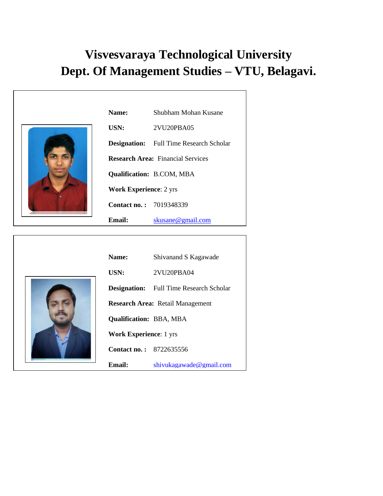## **Visvesvaraya Technological University Dept. Of Management Studies – VTU, Belagavi.**

| Name:                          | Shubham Mohan Kusane                           |
|--------------------------------|------------------------------------------------|
| USN:                           | 2VU20PBA05                                     |
|                                | <b>Designation:</b> Full Time Research Scholar |
|                                | <b>Research Area: Financial Services</b>       |
|                                | <b>Qualification: B.COM, MBA</b>               |
| <b>Work Experience: 2 yrs</b>  |                                                |
| <b>Contact no.: 7019348339</b> |                                                |
| Email:                         | skusane@gmail.com                              |
|                                |                                                |



| <b>Name:</b>                            | Shivanand S Kagawade                           |  |
|-----------------------------------------|------------------------------------------------|--|
| USN:                                    | 2VU20PBA04                                     |  |
|                                         | <b>Designation:</b> Full Time Research Scholar |  |
| <b>Research Area: Retail Management</b> |                                                |  |
| <b>Qualification: BBA, MBA</b>          |                                                |  |
| <b>Work Experience: 1 yrs</b>           |                                                |  |
| <b>Contact no.:</b> 8722635556          |                                                |  |
| Email:                                  | shivukagawade@gmail.com                        |  |
|                                         |                                                |  |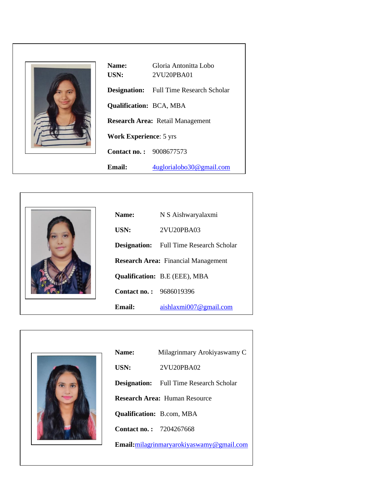|--|--|--|

| <b>Name:</b>                            | Gloria Antonitta Lobo                          |  |
|-----------------------------------------|------------------------------------------------|--|
| USN:                                    | 2VU20PBA01                                     |  |
|                                         | <b>Designation:</b> Full Time Research Scholar |  |
| <b>Qualification: BCA, MBA</b>          |                                                |  |
| <b>Research Area: Retail Management</b> |                                                |  |
| <b>Work Experience: 5 yrs</b>           |                                                |  |
| <b>Contact no.:</b> 9008677573          |                                                |  |
| <b>Email:</b>                           | 4uglorialobo30@gmail.com                       |  |



| <b>Name:</b>                               | N S Aishwaryalaxmi                             |  |
|--------------------------------------------|------------------------------------------------|--|
| USN:                                       | 2VU20PBA03                                     |  |
|                                            | <b>Designation:</b> Full Time Research Scholar |  |
| <b>Research Area:</b> Financial Management |                                                |  |
|                                            | <b>Qualification: B.E (EEE), MBA</b>           |  |
| <b>Contact no.: 9686019396</b>             |                                                |  |
| Email:                                     | aishlaxmi007 $@$ gmail.com                     |  |



| <b>Name:</b>                   | Milagrinmary Arokiyaswamy C                    |
|--------------------------------|------------------------------------------------|
| USN:                           | 2VU20PBA02                                     |
|                                | <b>Designation:</b> Full Time Research Scholar |
|                                | <b>Research Area: Human Resource</b>           |
|                                | <b>Qualification: B.com, MBA</b>               |
| <b>Contact no.: 7204267668</b> |                                                |
|                                | Email: milagrinmaryarokiyaswamy@gmail.com      |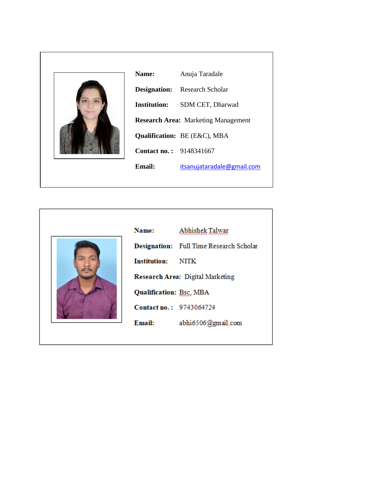

| Name:                          | Anuja Taradale                             |
|--------------------------------|--------------------------------------------|
|                                | <b>Designation:</b> Research Scholar       |
| <b>Institution:</b>            | SDM CET, Dharwad                           |
|                                | <b>Research Area: Marketing Management</b> |
|                                | <b>Qualification:</b> BE (E&C), MBA        |
| <b>Contact no.: 9148341667</b> |                                            |
| Email:                         | itsanujataradale@gmail.com                 |
|                                |                                            |



| Name:                            | Abhishek Talwar                                |  |
|----------------------------------|------------------------------------------------|--|
|                                  | <b>Designation:</b> Full Time Research Scholar |  |
| <b>Institution:</b> NITK         |                                                |  |
| Research Area: Digital Marketing |                                                |  |
| <b>Qualification: Bsc, MBA</b>   |                                                |  |
| <b>Contact no.: 9743064724</b>   |                                                |  |
| Email:                           | abhi6506@gmail.com                             |  |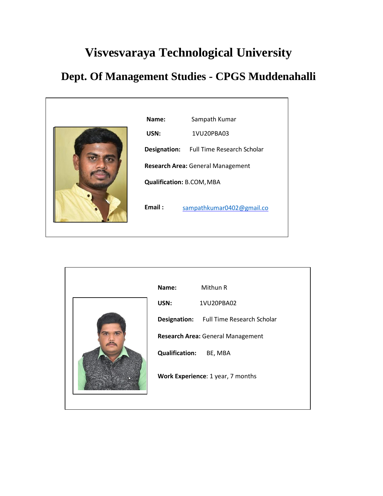## **Visvesvaraya Technological University**

## **Dept. Of Management Studies - CPGS Muddenahalli**



|  | Name:                         | Mithun R                                |
|--|-------------------------------|-----------------------------------------|
|  | USN:                          | 1VU20PBA02                              |
|  |                               | Designation: Full Time Research Scholar |
|  |                               | Research Area: General Management       |
|  | <b>Qualification: BE, MBA</b> |                                         |
|  |                               | Work Experience: 1 year, 7 months       |
|  |                               |                                         |